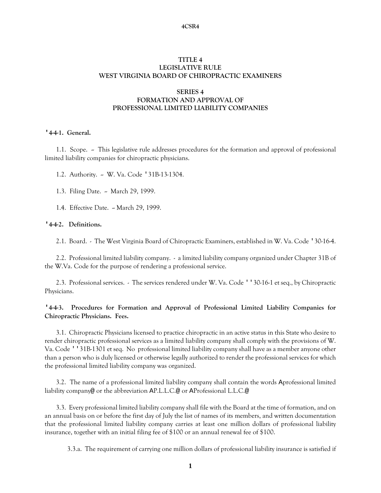#### **4CSR4**

### **TITLE 4 LEGISLATIVE RULE WEST VIRGINIA BOARD OF CHIROPRACTIC EXAMINERS**

### **SERIES 4 FORMATION AND APPROVAL OF PROFESSIONAL LIMITED LIABILITY COMPANIES**

### **'4-4-1. General.**

1.1. Scope. -- This legislative rule addresses procedures for the formation and approval of professional limited liability companies for chiropractic physicians.

1.2. Authority. - W. Va. Code '31B-13-1304.

1.3. Filing Date. - March 29, 1999.

1.4. Effective Date. - March 29, 1999.

### **'4-4-2. Definitions.**

2.1. Board. - The West Virginia Board of Chiropractic Examiners, established in W. Va. Code '30-16-4.

2.2. Professional limited liability company. - a limited liability company organized under Chapter 31B of the W.Va. Code for the purpose of rendering a professional service.

2.3. Professional services. - The services rendered under W. Va. Code ''30-16-1 et seq., by Chiropractic Physicians.

# **'4-4-3. Procedures for Formation and Approval of Professional Limited Liability Companies for Chiropractic Physicians. Fees.**

3.1. Chiropractic Physicians licensed to practice chiropractic in an active status in this State who desire to render chiropractic professional services as a limited liability company shall comply with the provisions of W. Va. Code ''31B-1301 et seq. No professional limited liability company shall have as a member anyone other than a person who is duly licensed or otherwise legally authorized to render the professional services for which the professional limited liability company was organized.

3.2. The name of a professional limited liability company shall contain the words Aprofessional limited liability company@ or the abbreviation AP.L.L.C.@ or AProfessional L.L.C.@

3.3. Every professional limited liability company shall file with the Board at the time of formation, and on an annual basis on or before the first day of July the list of names of its members, and written documentation that the professional limited liability company carries at least one million dollars of professional liability insurance, together with an initial filing fee of \$100 or an annual renewal fee of \$100.

3.3.a. The requirement of carrying one million dollars of professional liability insurance is satisfied if